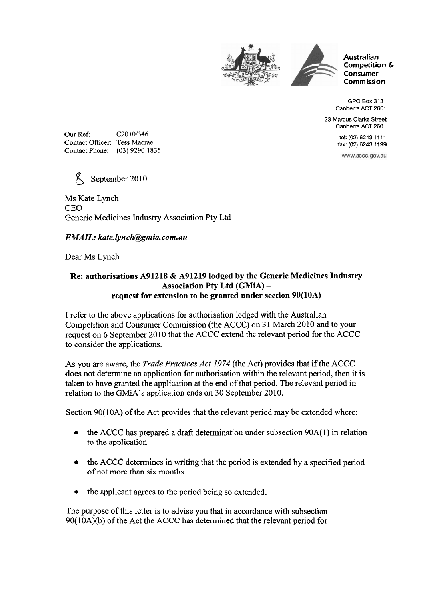



**Australian Competition** & **Consumer Commission** 

GPO Box 3131 Canberra ACT 2601

23 Marcus Clarke Street Canberra ACT 2601

> tel: (02) 6243 11 11 **fax:** (02) 6243 1 1 99

www.accc.gov.au

Our Ref: C2010/346 Contact Officer: Tess Macrae Contact Phone: (03) 9290 1835



Ms Kate Lynch CEO Generic Medicines Industry Association Pty Ltd

## $EMAIL:$  kate.lynch@gmia.com.au

Dear Ms Lynch

## **Re: authorisations A91218** & **A91219 lodged by the Generic Medicines Industry Association Pty Ltd (GMiA) request for extension to be granted under section 90(10A)**

I refer to the above applications for authorisation lodged with the Australian Competition and Consumer Commission (the ACCC) on 31 March 2010 and to your request on 6 September 2010 that the ACCC extend the relevant period for the ACCC to consider the applications.

As you are aware, the *Trade Practices Act 1974* (the Act) provides that if the ACCC does not determine an application for authorisation within the relevant period, then it is taken to have granted the application at the end of that period. The relevant period in relation to the GMiA's application ends on 30 September 2010.

Section 90(10A) of the Act provides that the relevant period may be extended where:

- the ACCC has prepared a draft determination under subsection 90A(1) in relation  $\bullet$ to the application
- the ACCC determines in writing that the period is extended by a specified period of not more than six months
- the applicant agrees to the period being so extended.

The purpose of this letter is to advise you that in accordance with subsection 90(10A)(b) of the Act the ACCC has determined that the relevant period for